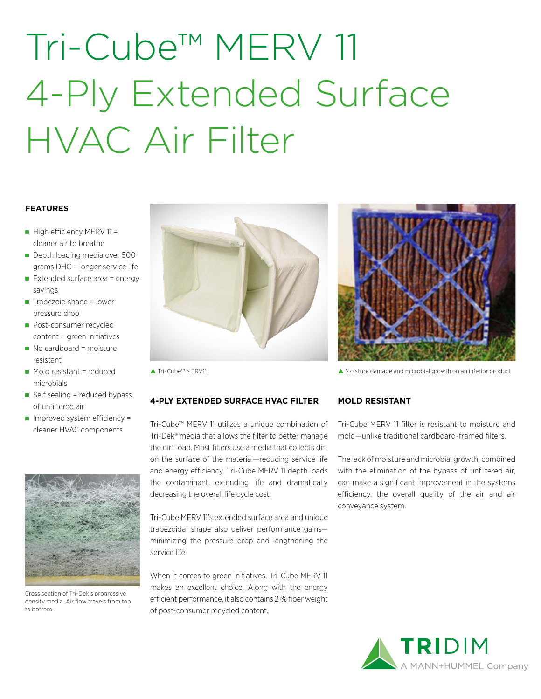# Tri-Cube™ MERV 11 4-Ply Extended Surface HVAC Air Filter

## **FEATURES**

- $\blacksquare$  High efficiency MERV 11 = cleaner air to breathe
- Depth loading media over 500 grams DHC = longer service life
- Extended surface area = energy savings
- $\blacksquare$  Trapezoid shape = lower pressure drop
- **Post-consumer recycled** content = green initiatives
- No cardboard = moisture resistant
- $\blacksquare$  Mold resistant = reduced microbials
- $\blacksquare$  Self sealing = reduced bypass of unfiltered air
- $\blacksquare$  Improved system efficiency = cleaner HVAC components



Cross section of Tri-Dek's progressive density media. Air flow travels from top to bottom.



## **4-PLY EXTENDED SURFACE HVAC FILTER**

Tri-Cube™ MERV 11 utilizes a unique combination of Tri-Dek® media that allows the filter to better manage the dirt load. Most filters use a media that collects dirt on the surface of the material—reducing service life and energy efficiency. Tri-Cube MERV 11 depth loads the contaminant, extending life and dramatically decreasing the overall life cycle cost.

Tri-Cube MERV 11's extended surface area and unique trapezoidal shape also deliver performance gains minimizing the pressure drop and lengthening the service life.

When it comes to green initiatives. Tri-Cube MERV 11 makes an excellent choice. Along with the energy efficient performance, it also contains 21% fiber weight of post-consumer recycled content.



Tri-Cube™ MERV11 Moisture damage and microbial growth on an inferior product

## **MOLD RESISTANT**

Tri-Cube MERV 11 filter is resistant to moisture and mold—unlike traditional cardboard-framed filters.

The lack of moisture and microbial growth, combined with the elimination of the bypass of unfiltered air, can make a significant improvement in the systems efficiency, the overall quality of the air and air conveyance system.